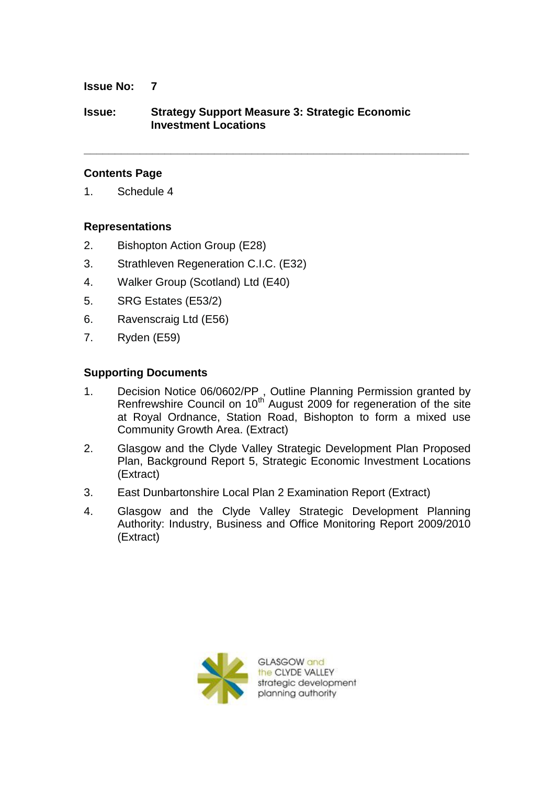### **Issue No: 7**

# **Issue: Strategy Support Measure 3: Strategic Economic Investment Locations**

**\_\_\_\_\_\_\_\_\_\_\_\_\_\_\_\_\_\_\_\_\_\_\_\_\_\_\_\_\_\_\_\_\_\_\_\_\_\_\_\_\_\_\_\_\_\_\_\_\_\_\_\_\_\_\_\_\_\_\_\_\_\_**

### **Contents Page**

1. Schedule 4

#### **Representations**

- 2. Bishopton Action Group (E28)
- 3. Strathleven Regeneration C.I.C. (E32)
- 4. Walker Group (Scotland) Ltd (E40)
- 5. SRG Estates (E53/2)
- 6. Ravenscraig Ltd (E56)
- 7. Ryden (E59)

#### **Supporting Documents**

- 1. Decision Notice 06/0602/PP , Outline Planning Permission granted by Renfrewshire Council on  $10^{th}$  August 2009 for regeneration of the site at Royal Ordnance, Station Road, Bishopton to form a mixed use Community Growth Area. (Extract)
- 2. Glasgow and the Clyde Valley Strategic Development Plan Proposed Plan, Background Report 5, Strategic Economic Investment Locations (Extract)
- 3. East Dunbartonshire Local Plan 2 Examination Report (Extract)
- 4. Glasgow and the Clyde Valley Strategic Development Planning Authority: Industry, Business and Office Monitoring Report 2009/2010 (Extract)



**GLASGOW** and the CLYDE VALLEY strategic development planning authority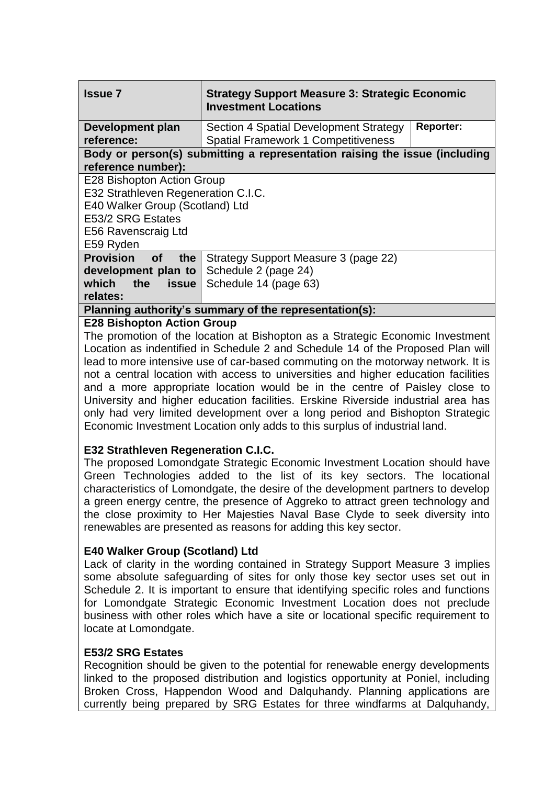| <b>Issue 7</b>                                                             | <b>Strategy Support Measure 3: Strategic Economic</b><br><b>Investment Locations</b> |                  |
|----------------------------------------------------------------------------|--------------------------------------------------------------------------------------|------------------|
| Development plan<br>reference:                                             | Section 4 Spatial Development Strategy<br><b>Spatial Framework 1 Competitiveness</b> | <b>Reporter:</b> |
| Body or person(s) submitting a representation raising the issue (including |                                                                                      |                  |
| reference number):                                                         |                                                                                      |                  |
| E28 Bishopton Action Group                                                 |                                                                                      |                  |
| E32 Strathleven Regeneration C.I.C.                                        |                                                                                      |                  |
| E40 Walker Group (Scotland) Ltd                                            |                                                                                      |                  |
| E53/2 SRG Estates                                                          |                                                                                      |                  |
| E56 Ravenscraig Ltd                                                        |                                                                                      |                  |
| E59 Ryden                                                                  |                                                                                      |                  |
| <b>Provision</b><br>the<br><b>of</b>                                       | Strategy Support Measure 3 (page 22)                                                 |                  |
| development plan to                                                        | Schedule 2 (page 24)                                                                 |                  |
| which the<br><b>issue</b>                                                  | Schedule 14 (page 63)                                                                |                  |
| relates:                                                                   |                                                                                      |                  |
| Planning authority's summary of the representation(s):                     |                                                                                      |                  |
| <b>E28 Bishopton Action Group</b>                                          |                                                                                      |                  |

The promotion of the location at Bishopton as a Strategic Economic Investment Location as indentified in Schedule 2 and Schedule 14 of the Proposed Plan will lead to more intensive use of car-based commuting on the motorway network. It is not a central location with access to universities and higher education facilities and a more appropriate location would be in the centre of Paisley close to University and higher education facilities. Erskine Riverside industrial area has only had very limited development over a long period and Bishopton Strategic Economic Investment Location only adds to this surplus of industrial land.

# **E32 Strathleven Regeneration C.I.C.**

The proposed Lomondgate Strategic Economic Investment Location should have Green Technologies added to the list of its key sectors. The locational characteristics of Lomondgate, the desire of the development partners to develop a green energy centre, the presence of Aggreko to attract green technology and the close proximity to Her Majesties Naval Base Clyde to seek diversity into renewables are presented as reasons for adding this key sector.

## **E40 Walker Group (Scotland) Ltd**

Lack of clarity in the wording contained in Strategy Support Measure 3 implies some absolute safeguarding of sites for only those key sector uses set out in Schedule 2. It is important to ensure that identifying specific roles and functions for Lomondgate Strategic Economic Investment Location does not preclude business with other roles which have a site or locational specific requirement to locate at Lomondgate.

## **E53/2 SRG Estates**

Recognition should be given to the potential for renewable energy developments linked to the proposed distribution and logistics opportunity at Poniel, including Broken Cross, Happendon Wood and Dalquhandy. Planning applications are currently being prepared by SRG Estates for three windfarms at Dalquhandy,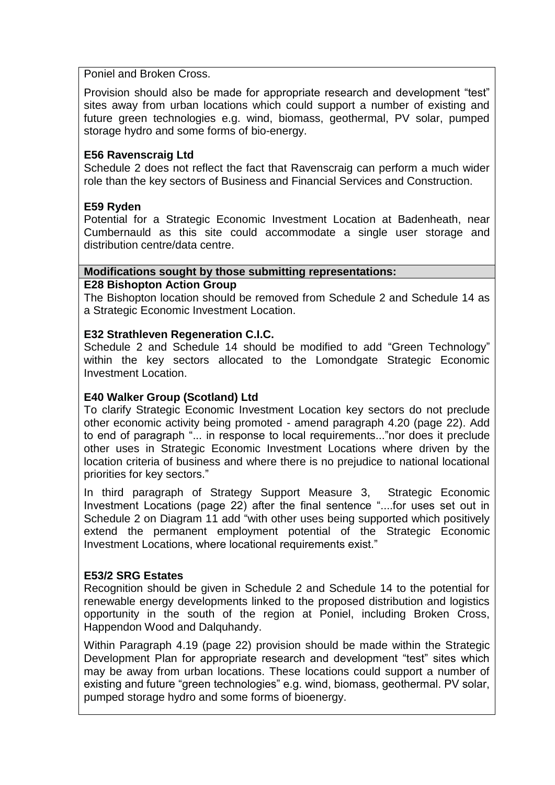#### Poniel and Broken Cross.

Provision should also be made for appropriate research and development "test" sites away from urban locations which could support a number of existing and future green technologies e.g. wind, biomass, geothermal, PV solar, pumped storage hydro and some forms of bio-energy.

# **E56 Ravenscraig Ltd**

Schedule 2 does not reflect the fact that Ravenscraig can perform a much wider role than the key sectors of Business and Financial Services and Construction.

# **E59 Ryden**

Potential for a Strategic Economic Investment Location at Badenheath, near Cumbernauld as this site could accommodate a single user storage and distribution centre/data centre.

# **Modifications sought by those submitting representations:**

#### **E28 Bishopton Action Group**

The Bishopton location should be removed from Schedule 2 and Schedule 14 as a Strategic Economic Investment Location.

#### **E32 Strathleven Regeneration C.I.C.**

Schedule 2 and Schedule 14 should be modified to add "Green Technology" within the key sectors allocated to the Lomondgate Strategic Economic Investment Location.

## **E40 Walker Group (Scotland) Ltd**

To clarify Strategic Economic Investment Location key sectors do not preclude other economic activity being promoted - amend paragraph 4.20 (page 22). Add to end of paragraph "... in response to local requirements..."nor does it preclude other uses in Strategic Economic Investment Locations where driven by the location criteria of business and where there is no prejudice to national locational priorities for key sectors."

In third paragraph of Strategy Support Measure 3, Strategic Economic Investment Locations (page 22) after the final sentence "....for uses set out in Schedule 2 on Diagram 11 add "with other uses being supported which positively extend the permanent employment potential of the Strategic Economic Investment Locations, where locational requirements exist."

## **E53/2 SRG Estates**

Recognition should be given in Schedule 2 and Schedule 14 to the potential for renewable energy developments linked to the proposed distribution and logistics opportunity in the south of the region at Poniel, including Broken Cross, Happendon Wood and Dalquhandy.

Within Paragraph 4.19 (page 22) provision should be made within the Strategic Development Plan for appropriate research and development "test" sites which may be away from urban locations. These locations could support a number of existing and future "green technologies" e.g. wind, biomass, geothermal. PV solar, pumped storage hydro and some forms of bioenergy.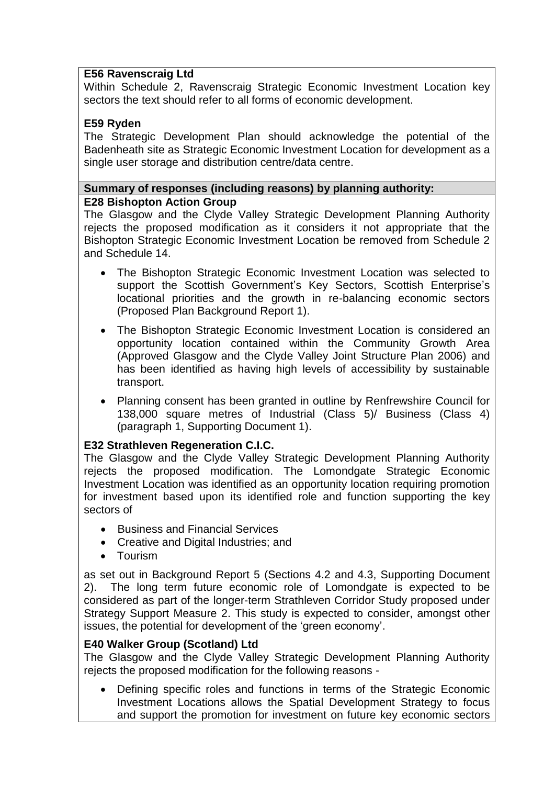# **E56 Ravenscraig Ltd**

Within Schedule 2, Ravenscraig Strategic Economic Investment Location key sectors the text should refer to all forms of economic development.

# **E59 Ryden**

The Strategic Development Plan should acknowledge the potential of the Badenheath site as Strategic Economic Investment Location for development as a single user storage and distribution centre/data centre.

## **Summary of responses (including reasons) by planning authority: E28 Bishopton Action Group**

The Glasgow and the Clyde Valley Strategic Development Planning Authority rejects the proposed modification as it considers it not appropriate that the Bishopton Strategic Economic Investment Location be removed from Schedule 2 and Schedule 14.

- The Bishopton Strategic Economic Investment Location was selected to support the Scottish Government's Key Sectors, Scottish Enterprise's locational priorities and the growth in re-balancing economic sectors (Proposed Plan Background Report 1).
- The Bishopton Strategic Economic Investment Location is considered an opportunity location contained within the Community Growth Area (Approved Glasgow and the Clyde Valley Joint Structure Plan 2006) and has been identified as having high levels of accessibility by sustainable transport.
- Planning consent has been granted in outline by Renfrewshire Council for 138,000 square metres of Industrial (Class 5)/ Business (Class 4) (paragraph 1, Supporting Document 1).

# **E32 Strathleven Regeneration C.I.C.**

The Glasgow and the Clyde Valley Strategic Development Planning Authority rejects the proposed modification. The Lomondgate Strategic Economic Investment Location was identified as an opportunity location requiring promotion for investment based upon its identified role and function supporting the key sectors of

- **Business and Financial Services**
- Creative and Digital Industries; and
- Tourism

as set out in Background Report 5 (Sections 4.2 and 4.3, Supporting Document 2). The long term future economic role of Lomondgate is expected to be considered as part of the longer-term Strathleven Corridor Study proposed under Strategy Support Measure 2. This study is expected to consider, amongst other issues, the potential for development of the "green economy".

## **E40 Walker Group (Scotland) Ltd**

The Glasgow and the Clyde Valley Strategic Development Planning Authority rejects the proposed modification for the following reasons -

 Defining specific roles and functions in terms of the Strategic Economic Investment Locations allows the Spatial Development Strategy to focus and support the promotion for investment on future key economic sectors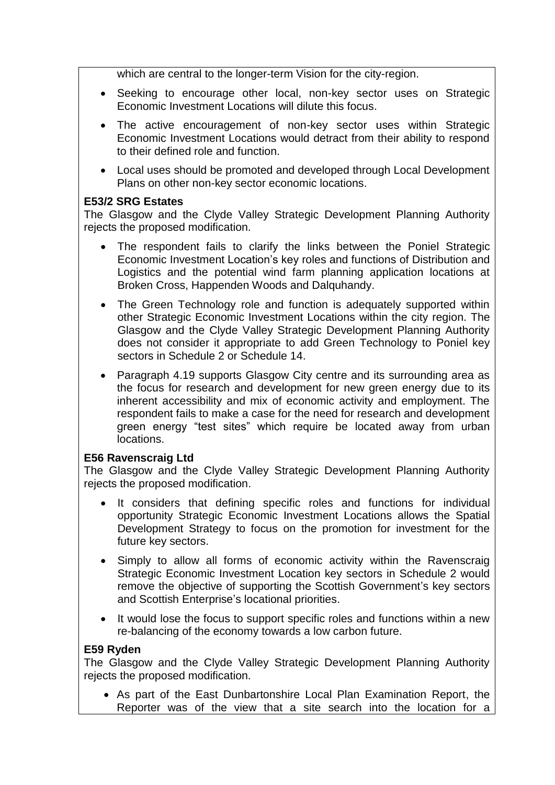which are central to the longer-term Vision for the city-region.

- Seeking to encourage other local, non-key sector uses on Strategic Economic Investment Locations will dilute this focus.
- The active encouragement of non-key sector uses within Strategic Economic Investment Locations would detract from their ability to respond to their defined role and function.
- Local uses should be promoted and developed through Local Development Plans on other non-key sector economic locations.

# **E53/2 SRG Estates**

The Glasgow and the Clyde Valley Strategic Development Planning Authority rejects the proposed modification.

- The respondent fails to clarify the links between the Poniel Strategic Economic Investment Location"s key roles and functions of Distribution and Logistics and the potential wind farm planning application locations at Broken Cross, Happenden Woods and Dalquhandy.
- The Green Technology role and function is adequately supported within other Strategic Economic Investment Locations within the city region. The Glasgow and the Clyde Valley Strategic Development Planning Authority does not consider it appropriate to add Green Technology to Poniel key sectors in Schedule 2 or Schedule 14.
- Paragraph 4.19 supports Glasgow City centre and its surrounding area as the focus for research and development for new green energy due to its inherent accessibility and mix of economic activity and employment. The respondent fails to make a case for the need for research and development green energy "test sites" which require be located away from urban locations.

## **E56 Ravenscraig Ltd**

The Glasgow and the Clyde Valley Strategic Development Planning Authority rejects the proposed modification.

- It considers that defining specific roles and functions for individual opportunity Strategic Economic Investment Locations allows the Spatial Development Strategy to focus on the promotion for investment for the future key sectors.
- Simply to allow all forms of economic activity within the Ravenscraig Strategic Economic Investment Location key sectors in Schedule 2 would remove the objective of supporting the Scottish Government's key sectors and Scottish Enterprise's locational priorities.
- It would lose the focus to support specific roles and functions within a new re-balancing of the economy towards a low carbon future.

# **E59 Ryden**

The Glasgow and the Clyde Valley Strategic Development Planning Authority rejects the proposed modification.

 As part of the East Dunbartonshire Local Plan Examination Report, the Reporter was of the view that a site search into the location for a